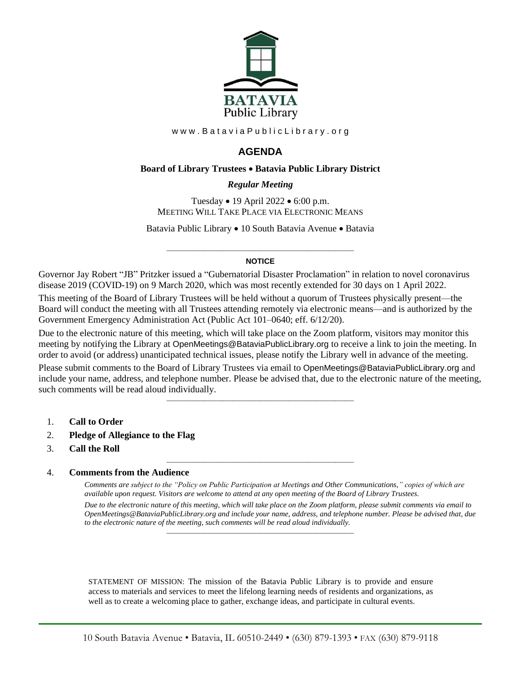

www.BataviaPublicLibrary.org

# **AGENDA**

### **Board of Library Trustees** • **Batavia Public Library District**

### *0BRegular Meeting*

Tuesday • 19 April 2022 • 6:00 p.m. MEETING WILL TAKE PLACE VIA ELECTRONIC MEANS

Batavia Public Library • 10 South Batavia Avenue • Batavia

#### ———————————————————— **NOTICE**

Governor Jay Robert "JB" Pritzker issued a "Gubernatorial Disaster Proclamation" in relation to novel coronavirus disease 2019 (COVID-19) on 9 March 2020, which was most recently extended for 30 days on 1 April 2022.

This meeting of the Board of Library Trustees will be held without a quorum of Trustees physically present—the Board will conduct the meeting with all Trustees attending remotely via electronic means—and is authorized by the Government Emergency Administration Act (Public Act 101–0640; eff. 6/12/20).

Due to the electronic nature of this meeting, which will take place on the Zoom platform, visitors may monitor this meeting by notifying the Library at OpenMeetings@BataviaPublicLibrary.org to receive a link to join the meeting. In order to avoid (or address) unanticipated technical issues, please notify the Library well in advance of the meeting.

Please submit comments to the Board of Library Trustees via email to OpenMeetings@BataviaPublicLibrary.org and include your name, address, and telephone number. Please be advised that, due to the electronic nature of the meeting, such comments will be read aloud individually.

————————————————————

————————————————————

- 1. **Call to Order**
- 2. **Pledge of Allegiance to the Flag**
- 3. **Call the Roll**

### 4. **Comments from the Audience**

*Comments are subject to the "Policy on Public Participation at Meetings and Other Communications," copies of which are available upon request. Visitors are welcome to attend at any open meeting of the Board of Library Trustees. Due to the electronic nature of this meeting, which will take place on the Zoom platform, please submit comments via email to OpenMeetings@BataviaPublicLibrary.org and include your name, address, and telephone number. Please be advised that, due to the electronic nature of the meeting, such comments will be read aloud individually.*

STATEMENT OF MISSION: The mission of the Batavia Public Library is to provide and ensure access to materials and services to meet the lifelong learning needs of residents and organizations, as well as to create a welcoming place to gather, exchange ideas, and participate in cultural events.

————————————————————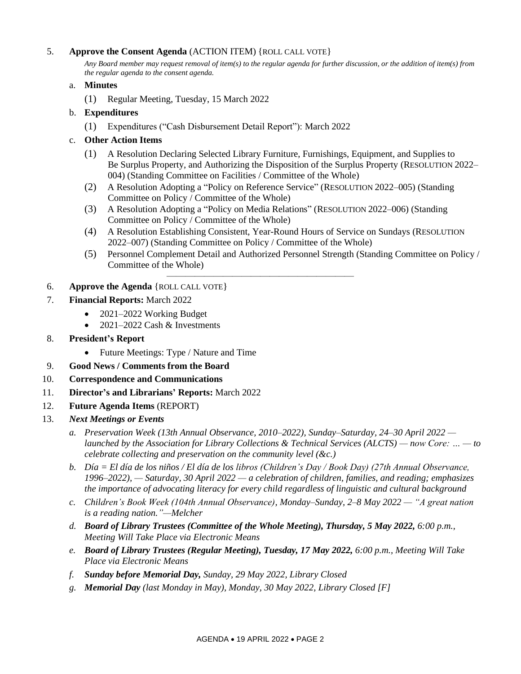## 5. **Approve the Consent Agenda** (ACTION ITEM) {ROLL CALL VOTE}

*Any Board member may request removal of item(s) to the regular agenda for further discussion, or the addition of item(s) from the regular agenda to the consent agenda.*

### a. **Minutes**

(1) Regular Meeting, Tuesday, 15 March 2022

### b. **Expenditures**

(1) Expenditures ("Cash Disbursement Detail Report"): March 2022

## c. **Other Action Items**

- (1) A Resolution Declaring Selected Library Furniture, Furnishings, Equipment, and Supplies to Be Surplus Property, and Authorizing the Disposition of the Surplus Property (RESOLUTION 2022– 004) (Standing Committee on Facilities / Committee of the Whole)
- (2) A Resolution Adopting a "Policy on Reference Service" (RESOLUTION 2022–005) (Standing Committee on Policy / Committee of the Whole)
- (3) A Resolution Adopting a "Policy on Media Relations" (RESOLUTION 2022–006) (Standing Committee on Policy / Committee of the Whole)

————————————————————

- (4) A Resolution Establishing Consistent, Year-Round Hours of Service on Sundays (RESOLUTION 2022–007) (Standing Committee on Policy / Committee of the Whole)
- (5) Personnel Complement Detail and Authorized Personnel Strength (Standing Committee on Policy / Committee of the Whole)

### 6. **Approve the Agenda** {ROLL CALL VOTE}

- 7. **Financial Reports:** March 2022
	- 2021–2022 Working Budget
	- $2021-2022$  Cash & Investments
- 8. **President's Report**
	- Future Meetings: Type / Nature and Time
- 9. **Good News / Comments from the Board**
- 10. **Correspondence and Communications**
- 11. **Director's and Librarians' Reports:** March 2022
- 12. **Future Agenda Items** (REPORT)
- 13. *Next Meetings or Events*
	- *a. Preservation Week (13th Annual Observance, 2010–2022), Sunday–Saturday, 24–30 April 2022 launched by the Association for Library Collections & Technical Services (ALCTS) — now Core: … — to celebrate collecting and preservation on the community level (&c.)*
	- *b. Día = El día de los niños / El día de los libros (Children's Day / Book Day) (27th Annual Observance, 1996–2022), — Saturday, 30 April 2022 — a celebration of children, families, and reading; emphasizes the importance of advocating literacy for every child regardless of linguistic and cultural background*
	- *c. Children's Book Week (104th Annual Observance), Monday–Sunday, 2–8 May 2022 — "A great nation is a reading nation."—Melcher*
	- *d. Board of Library Trustees (Committee of the Whole Meeting), Thursday, 5 May 2022, 6:00 p.m., Meeting Will Take Place via Electronic Means*
	- *e. Board of Library Trustees (Regular Meeting), Tuesday, 17 May 2022, 6:00 p.m., Meeting Will Take Place via Electronic Means*
	- *f. Sunday before Memorial Day, Sunday, 29 May 2022, Library Closed*
	- *g. Memorial Day (last Monday in May), Monday, 30 May 2022, Library Closed [F]*